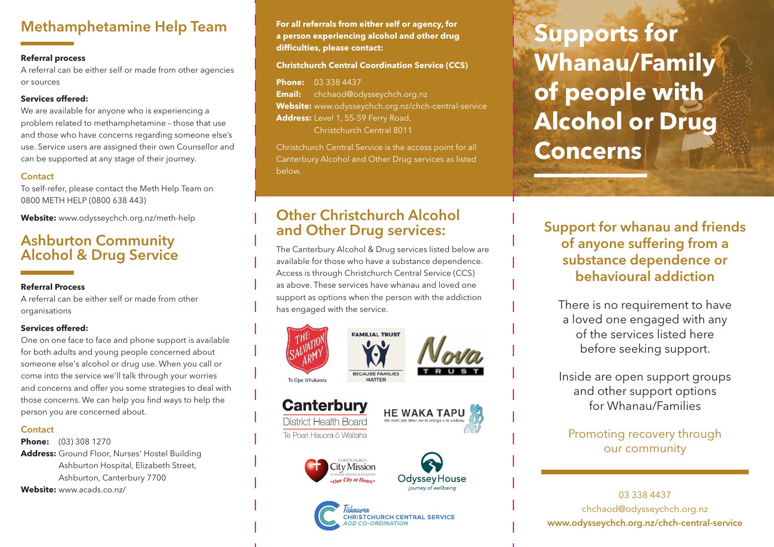# Methamphetamine Help Team

### **Referral process**

A referral can be either self or made from other agencies or sources

### **Services offered:**

We are available for anyone who is experiencing a problem related to methamphetamine – those that use and those who have concerns regarding someone else's use. Service users are assigned their own Counsellor and can be supported at any stage of their journey.

### **Contact**

To self-refer, please contact the Meth Help Team on 0800 METH HELP (0800 638 443)

**Website:** www.odysseychch.org.nz/meth-help

# Ashburton Community Alcohol & Drug Service

### **Referral Process**

A referral can be either self or made from other organisations

### **Services offered:**

One on one face to face and phone support is available for both adults and young people concerned about someone else's alcohol or drug use. When you call or come into the service we'll talk through your worries and concerns and offer you some strategies to deal with those concerns. We can help you find ways to help the person you are concerned about.

### **Contact**

**Phone:** (03) 308 1270 **Address:** Ground Floor, Nurses' Hostel Building Ashburton Hospital, Elizabeth Street, Ashburton, Canterbury 7700 **Website:** www.acads.co.nz/

**For all referrals from either self or agency, for a person experiencing alcohol and other drug difficulties, please contact:**

#### **Christchurch Central Coordination Service (CCS)**

**Phone:** 03 338 4437 **Email:** chchaod@odysseychch.org.nz **Website:** www.odysseychch.org.nz/chch-central-service **Address:** Level 1, 55-59 Ferry Road, Christchurch Central 8011

Christchurch Central Service is the access point for all Canterbury Alcohol and Other Drug services as listed below.

### Other Christchurch Alcohol and Other Drug services:

The Canterbury Alcohol & Drug services listed below are available for those who have a substance dependence. Access is through Christchurch Central Service (CCS) as above. These services have whanau and loved one support as options when the person with the addiction has engaged with the service.



### **Canterbury District Health Board**

**HE WAKA TAPU** 

Te Poari Hauora ō Waitaha







# **Supports for Whanau/Family of people with Alcohol or Drug Concerns**

Support for whanau and friends of anyone suffering from a substance dependence or behavioural addiction

There is no requirement to have a loved one engaged with any of the services listed here before seeking support.

Inside are open support groups and other support options for Whanau/Families

### Promoting recovery through our community

03 338 4437 chchaod@odysseychch.org.nz www.odysseychch.org.nz/chch-central-service